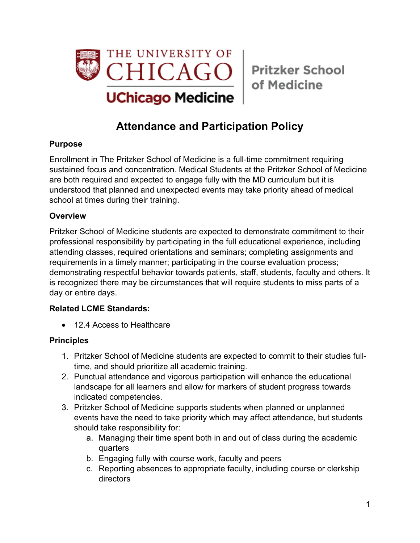

of Medicine

# **Attendance and Participation Policy**

#### **Purpose**

Enrollment in The Pritzker School of Medicine is a full-time commitment requiring sustained focus and concentration. Medical Students at the Pritzker School of Medicine are both required and expected to engage fully with the MD curriculum but it is understood that planned and unexpected events may take priority ahead of medical school at times during their training.

#### **Overview**

Pritzker School of Medicine students are expected to demonstrate commitment to their professional responsibility by participating in the full educational experience, including attending classes, required orientations and seminars; completing assignments and requirements in a timely manner; participating in the course evaluation process; demonstrating respectful behavior towards patients, staff, students, faculty and others. It is recognized there may be circumstances that will require students to miss parts of a day or entire days.

### **Related LCME Standards:**

• 12.4 Access to Healthcare

### **Principles**

- 1. Pritzker School of Medicine students are expected to commit to their studies fulltime, and should prioritize all academic training.
- 2. Punctual attendance and vigorous participation will enhance the educational landscape for all learners and allow for markers of student progress towards indicated competencies.
- 3. Pritzker School of Medicine supports students when planned or unplanned events have the need to take priority which may affect attendance, but students should take responsibility for:
	- a. Managing their time spent both in and out of class during the academic quarters
	- b. Engaging fully with course work, faculty and peers
	- c. Reporting absences to appropriate faculty, including course or clerkship directors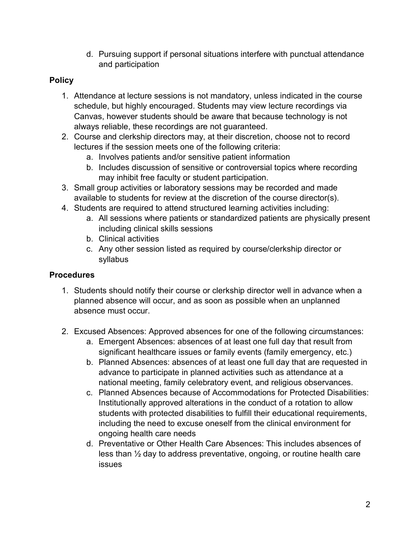d. Pursuing support if personal situations interfere with punctual attendance and participation

## **Policy**

- 1. Attendance at lecture sessions is not mandatory, unless indicated in the course schedule, but highly encouraged. Students may view lecture recordings via Canvas, however students should be aware that because technology is not always reliable, these recordings are not guaranteed.
- 2. Course and clerkship directors may, at their discretion, choose not to record lectures if the session meets one of the following criteria:
	- a. Involves patients and/or sensitive patient information
	- b. Includes discussion of sensitive or controversial topics where recording may inhibit free faculty or student participation.
- 3. Small group activities or laboratory sessions may be recorded and made available to students for review at the discretion of the course director(s).
- 4. Students are required to attend structured learning activities including:
	- a. All sessions where patients or standardized patients are physically present including clinical skills sessions
	- b. Clinical activities
	- c. Any other session listed as required by course/clerkship director or syllabus

## **Procedures**

- 1. Students should notify their course or clerkship director well in advance when a planned absence will occur, and as soon as possible when an unplanned absence must occur.
- 2. Excused Absences: Approved absences for one of the following circumstances:
	- a. Emergent Absences: absences of at least one full day that result from significant healthcare issues or family events (family emergency, etc.)
	- b. Planned Absences: absences of at least one full day that are requested in advance to participate in planned activities such as attendance at a national meeting, family celebratory event, and religious observances.
	- c. Planned Absences because of Accommodations for Protected Disabilities: Institutionally approved alterations in the conduct of a rotation to allow students with protected disabilities to fulfill their educational requirements, including the need to excuse oneself from the clinical environment for ongoing health care needs
	- d. Preventative or Other Health Care Absences: This includes absences of less than ½ day to address preventative, ongoing, or routine health care issues